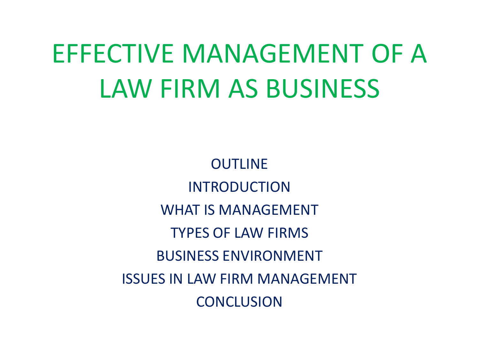# EFFECTIVE MANAGEMENT OF A LAW FIRM AS BUSINESS

OUTLINE INTRODUCTION WHAT IS MANAGEMENT TYPES OF LAW FIRMS BUSINESS ENVIRONMENT ISSUES IN LAW FIRM MANAGEMENT **CONCLUSION**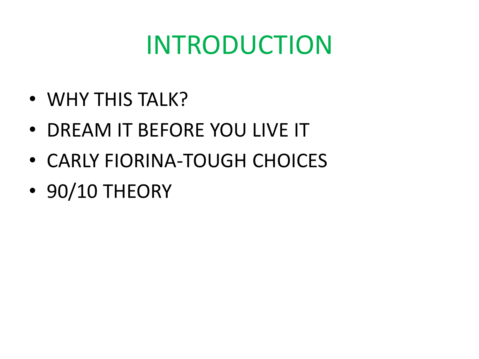#### INTRODUCTION

- WHY THIS TALK?
- DREAM IT BEFORE YOU LIVE IT
- CARLY FIORINA-TOUGH CHOICES
- 90/10 THEORY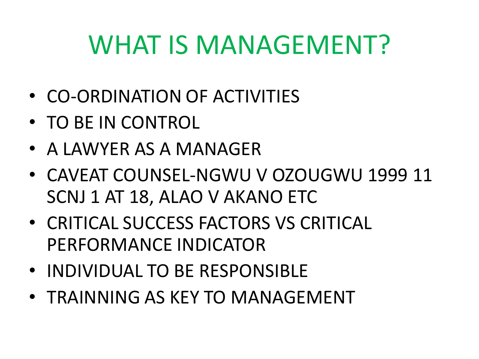#### WHAT IS MANAGEMENT?

- CO-ORDINATION OF ACTIVITIES
- TO BE IN CONTROL
- A LAWYER AS A MANAGER
- CAVEAT COUNSEL-NGWU V OZOUGWU 1999 11 SCNJ 1 AT 18, ALAO V AKANO ETC
- CRITICAL SUCCESS FACTORS VS CRITICAL PERFORMANCE INDICATOR
- INDIVIDUAL TO BE RESPONSIBLE
- TRAINNING AS KEY TO MANAGEMENT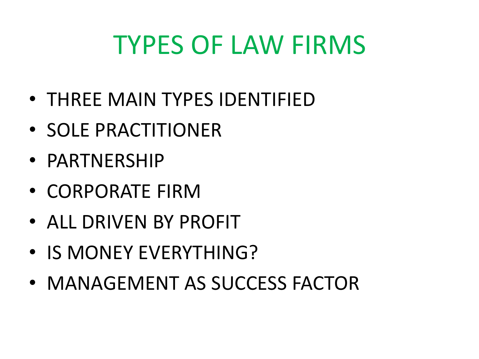#### TYPES OF LAW FIRMS

- THREE MAIN TYPES IDENTIFIED
- SOLE PRACTITIONER
- PARTNERSHIP
- CORPORATE FIRM
- ALL DRIVEN BY PROFIT
- IS MONEY EVERYTHING?
- MANAGEMENT AS SUCCESS FACTOR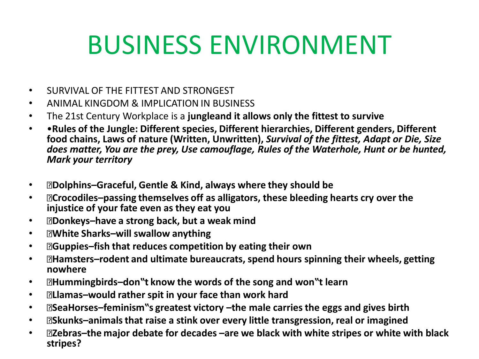## BUSINESS ENVIRONMENT

- SURVIVAL OF THE FITTEST AND STRONGEST
- ANIMAL KINGDOM & IMPLICATION IN BUSINESS
- The 21st Century Workplace is a **jungleand it allows only the fittest to survive**
- •**Rules of the Jungle: Different species, Different hierarchies, Different genders, Different food chains, Laws of nature (Written, Unwritten),** *Survival of the fittest, Adapt or Die, Size does matter, You are the prey, Use camouflage, Rules of the Waterhole, Hunt or be hunted, Mark your territory*
- **Dolphins–Graceful, Gentle & Kind, always where they should be**
- **Crocodiles–passing themselves off as alligators, these bleeding hearts cry over the injustice of your fate even as they eat you**
- **Donkeys–have a strong back, but a weak mind**
- **White Sharks–will swallow anything**
- **Guppies–fish that reduces competition by eating their own**
- **Hamsters–rodent and ultimate bureaucrats, spend hours spinning their wheels, getting nowhere**
- **Hummingbirds–don"t know the words of the song and won"t learn**
- **Llamas–would rather spit in your face than work hard**
- **SeaHorses–feminism"s greatest victory –the male carries the eggs and gives birth**
- **Skunks–animals that raise a stink over every little transgression, real or imagined**
- **Zebras–the major debate for decades –are we black with white stripes or white with black stripes?**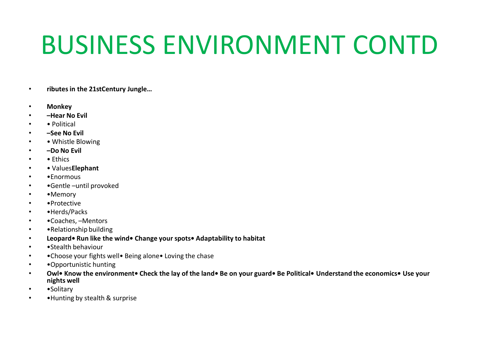#### BUSINESS ENVIRONMENT CONTD

- **ributesin the 21stCentury Jungle…**
- **Monkey**
- **–Hear No Evil**
- • Political
- **–See No Evil**
- • Whistle Blowing
- **–Do No Evil**
- Ethics
- • Values**Elephant**
- •Enormous
- •Gentle –until provoked
- •Memory
- •Protective
- •Herds/Packs
- •Coaches, –Mentors
- • Relationship building
- **Leopard• Run like the wind• Change your spots• Adaptability to habitat**
- •Stealth behaviour
- • Choose your fights well• Being alone• Loving the chase
- •Opportunistic hunting
- **Owl• Know the environment• Check the lay of the land• Be on your guard• Be Political• Understand the economics• Use your nights well**
- • **Solitary**
- •Hunting by stealth & surprise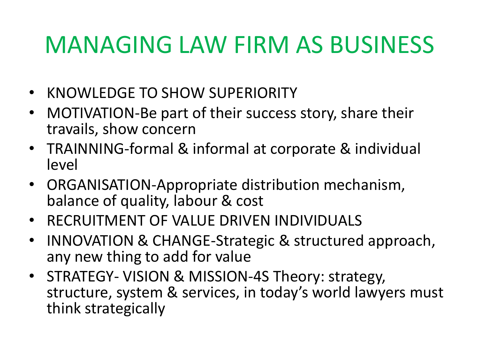#### MANAGING LAW FIRM AS BUSINESS

- KNOWLEDGE TO SHOW SUPERIORITY
- MOTIVATION-Be part of their success story, share their travails, show concern
- TRAINNING-formal & informal at corporate & individual level
- ORGANISATION-Appropriate distribution mechanism, balance of quality, labour & cost
- RECRUITMENT OF VALUE DRIVEN INDIVIDUALS
- INNOVATION & CHANGE-Strategic & structured approach, any new thing to add for value
- STRATEGY- VISION & MISSION-4S Theory: strategy, structure, system & services, in today's world lawyers must think strategically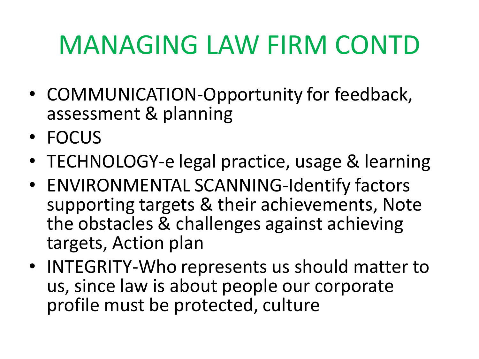# MANAGING LAW FIRM CONTD

- COMMUNICATION-Opportunity for feedback, assessment & planning
- FOCUS
- TECHNOLOGY-e legal practice, usage & learning
- ENVIRONMENTAL SCANNING-Identify factors supporting targets & their achievements, Note the obstacles & challenges against achieving targets, Action plan
- INTEGRITY-Who represents us should matter to us, since law is about people our corporate profile must be protected, culture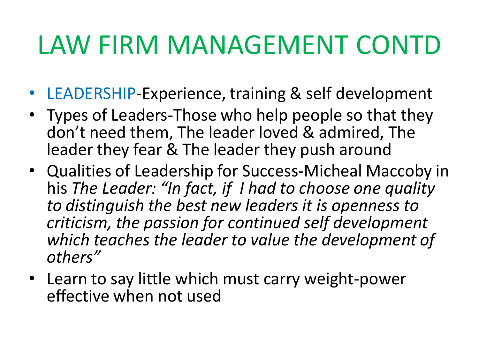#### LAW FIRM MANAGEMENT CONTD

- LEADERSHIP-Experience, training & self development
- Types of Leaders-Those who help people so that they don't need them, The leader loved & admired, The leader they fear & The leader they push around
- Qualities of Leadership for Success-Micheal Maccoby in his *The Leader: "In fact, if I had to choose one quality to distinguish the best new leaders it is openness to criticism, the passion for continued self development which teaches the leader to value the development of others"*
- Learn to say little which must carry weight-power effective when not used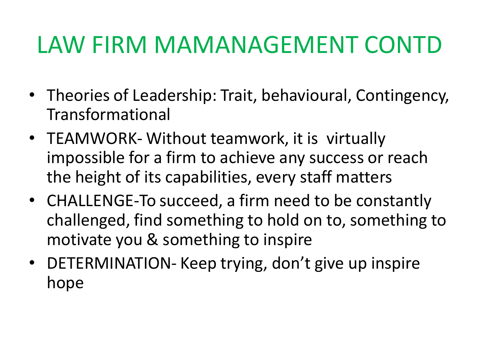#### LAW FIRM MAMANAGEMENT CONTD

- Theories of Leadership: Trait, behavioural, Contingency, Transformational
- TEAMWORK- Without teamwork, it is virtually impossible for a firm to achieve any success or reach the height of its capabilities, every staff matters
- CHALLENGE-To succeed, a firm need to be constantly challenged, find something to hold on to, something to motivate you & something to inspire
- DETERMINATION- Keep trying, don't give up inspire hope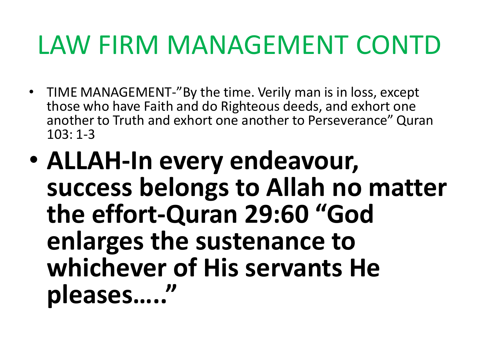#### LAW FIRM MANAGEMENT CONTD

- TIME MANAGEMENT-"By the time. Verily man is in loss, except those who have Faith and do Righteous deeds, and exhort one another to Truth and exhort one another to Perseverance" Quran 103: 1-3
- **ALLAH-In every endeavour, success belongs to Allah no matter the effort-Quran 29:60 "God enlarges the sustenance to whichever of His servants He pleases….."**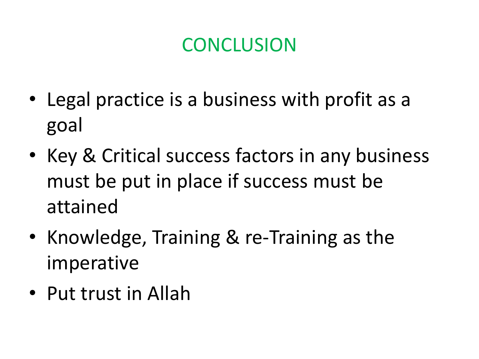#### **CONCLUSION**

- Legal practice is a business with profit as a goal
- Key & Critical success factors in any business must be put in place if success must be attained
- Knowledge, Training & re-Training as the imperative
- Put trust in Allah